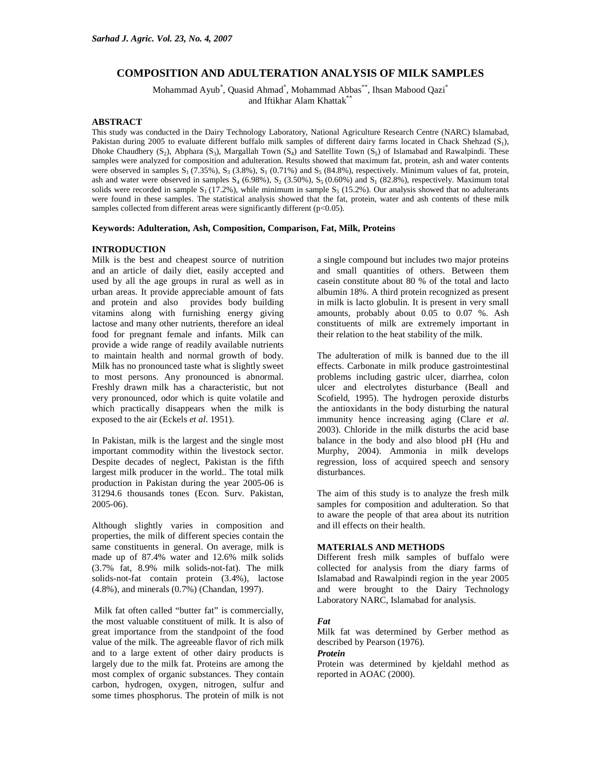# **COMPOSITION AND ADULTERATION ANALYSIS OF MILK SAMPLES**

Mohammad Ayub<sup>\*</sup>, Quasid Ahmad<sup>\*</sup>, Mohammad Abbas<sup>\*\*</sup>, Ihsan Mabood Qazi<sup>\*</sup> and Iftikhar Alam Khattak\*\*

## **ABSTRACT**

This study was conducted in the Dairy Technology Laboratory, National Agriculture Research Centre (NARC) Islamabad, Pakistan during 2005 to evaluate different buffalo milk samples of different dairy farms located in Chack Shehzad (S<sub>1</sub>), Dhoke Chaudhery (S<sub>2</sub>), Abphara (S<sub>3</sub>), Margallah Town (S<sub>4</sub>) and Satellite Town (S<sub>5</sub>) of Islamabad and Rawalpindi. These samples were analyzed for composition and adulteration. Results showed that maximum fat, protein, ash and water contents were observed in samples  $S_1$  (7.35%),  $S_3$  (3.8%),  $S_1$  (0.71%) and  $S_5$  (84.8%), respectively. Minimum values of fat, protein, ash and water were observed in samples  $S_4$  (6.98%),  $S_2$  (3.50%),  $S_5$  (0.60%) and  $S_1$  (82.8%), respectively. Maximum total solids were recorded in sample  $S_1$  (17.2%), while minimum in sample  $S_5$  (15.2%). Our analysis showed that no adulterants were found in these samples. The statistical analysis showed that the fat, protein, water and ash contents of these milk samples collected from different areas were significantly different (p<0.05).

#### **Keywords: Adulteration, Ash, Composition, Comparison, Fat, Milk, Proteins**

## **INTRODUCTION**

Milk is the best and cheapest source of nutrition and an article of daily diet, easily accepted and used by all the age groups in rural as well as in urban areas. It provide appreciable amount of fats and protein and also provides body building vitamins along with furnishing energy giving lactose and many other nutrients, therefore an ideal food for pregnant female and infants. Milk can provide a wide range of readily available nutrients to maintain health and normal growth of body. Milk has no pronounced taste what is slightly sweet to most persons. Any pronounced is abnormal. Freshly drawn milk has a characteristic, but not very pronounced, odor which is quite volatile and which practically disappears when the milk is exposed to the air (Eckels *et al*. 1951).

In Pakistan, milk is the largest and the single most important commodity within the livestock sector. Despite decades of neglect, Pakistan is the fifth largest milk producer in the world.. The total milk production in Pakistan during the year 2005-06 is 31294.6 thousands tones (Econ. Surv. Pakistan, 2005-06).

Although slightly varies in composition and properties, the milk of different species contain the same constituents in general. On average, milk is made up of 87.4% water and 12.6% milk solids (3.7% fat, 8.9% milk solids-not-fat). The milk solids-not-fat contain protein (3.4%), lactose (4.8%), and minerals (0.7%) (Chandan, 1997).

 Milk fat often called "butter fat" is commercially, the most valuable constituent of milk. It is also of great importance from the standpoint of the food value of the milk. The agreeable flavor of rich milk and to a large extent of other dairy products is largely due to the milk fat. Proteins are among the most complex of organic substances. They contain carbon, hydrogen, oxygen, nitrogen, sulfur and some times phosphorus. The protein of milk is not a single compound but includes two major proteins and small quantities of others. Between them casein constitute about 80 % of the total and lacto albumin 18%. A third protein recognized as present in milk is lacto globulin. It is present in very small amounts, probably about 0.05 to 0.07 %. Ash constituents of milk are extremely important in their relation to the heat stability of the milk.

The adulteration of milk is banned due to the ill effects. Carbonate in milk produce gastrointestinal problems including gastric ulcer, diarrhea, colon ulcer and electrolytes disturbance (Beall and Scofield, 1995). The hydrogen peroxide disturbs the antioxidants in the body disturbing the natural immunity hence increasing aging (Clare *et al*. 2003). Chloride in the milk disturbs the acid base balance in the body and also blood pH (Hu and Murphy, 2004). Ammonia in milk develops regression, loss of acquired speech and sensory disturbances.

The aim of this study is to analyze the fresh milk samples for composition and adulteration. So that to aware the people of that area about its nutrition and ill effects on their health.

## **MATERIALS AND METHODS**

Different fresh milk samples of buffalo were collected for analysis from the diary farms of Islamabad and Rawalpindi region in the year 2005 and were brought to the Dairy Technology Laboratory NARC, Islamabad for analysis.

## *Fat*

Milk fat was determined by Gerber method as described by Pearson (1976).

## *Protein*

Protein was determined by kjeldahl method as reported in AOAC (2000).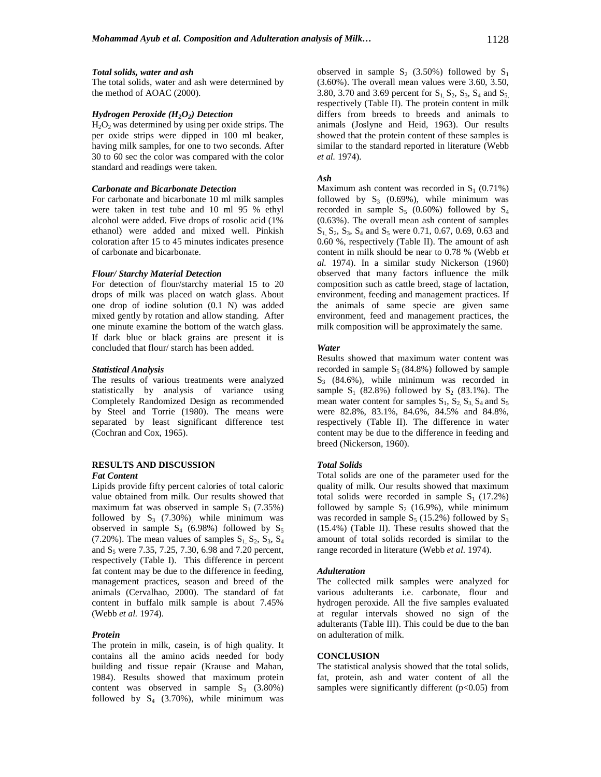#### *Total solids, water and ash*

The total solids, water and ash were determined by the method of AOAC (2000).

## *Hydrogen Peroxide (H2O2) Detection*

 $H<sub>2</sub>O<sub>2</sub>$  was determined by using per oxide strips. The per oxide strips were dipped in 100 ml beaker, having milk samples, for one to two seconds. After 30 to 60 sec the color was compared with the color standard and readings were taken.

## *Carbonate and Bicarbonate Detection*

For carbonate and bicarbonate 10 ml milk samples were taken in test tube and 10 ml 95 % ethyl alcohol were added. Five drops of rosolic acid (1% ethanol) were added and mixed well. Pinkish coloration after 15 to 45 minutes indicates presence of carbonate and bicarbonate.

## *Flour/ Starchy Material Detection*

For detection of flour/starchy material 15 to 20 drops of milk was placed on watch glass. About one drop of iodine solution (0.1 N) was added mixed gently by rotation and allow standing. After one minute examine the bottom of the watch glass. If dark blue or black grains are present it is concluded that flour/ starch has been added.

#### *Statistical Analysis*

The results of various treatments were analyzed statistically by analysis of variance using Completely Randomized Design as recommended by Steel and Torrie (1980). The means were separated by least significant difference test (Cochran and Cox, 1965).

# **RESULTS AND DISCUSSION**

## *Fat Content*

Lipids provide fifty percent calories of total caloric value obtained from milk. Our results showed that maximum fat was observed in sample  $S_1$  (7.35%) followed by  $S_3$  (7.30%), while minimum was observed in sample  $S_4$  (6.98%) followed by  $S_5$  $(7.20\%)$ . The mean values of samples  $S_1$ ,  $S_2$ ,  $S_3$ ,  $S_4$ and  $S_5$  were 7.35, 7.25, 7.30, 6.98 and 7.20 percent, respectively (Table I). This difference in percent fat content may be due to the difference in feeding, management practices, season and breed of the animals (Cervalhao, 2000). The standard of fat content in buffalo milk sample is about 7.45% (Webb *et al.* 1974).

#### *Protein*

The protein in milk, casein, is of high quality. It contains all the amino acids needed for body building and tissue repair (Krause and Mahan, 1984). Results showed that maximum protein content was observed in sample  $S_3$  (3.80%) followed by  $S_4$  (3.70%), while minimum was

observed in sample  $S_2$  (3.50%) followed by  $S_1$ (3.60%). The overall mean values were 3.60, 3.50, 3.80, 3.70 and 3.69 percent for  $S_1$ ,  $S_2$ ,  $S_3$ ,  $S_4$  and  $S_5$ respectively (Table II). The protein content in milk differs from breeds to breeds and animals to animals (Joslyne and Heid, 1963). Our results showed that the protein content of these samples is similar to the standard reported in literature (Webb *et al.* 1974).

#### *Ash*

Maximum ash content was recorded in  $S_1$  (0.71%) followed by  $S_3$  (0.69%), while minimum was recorded in sample  $S_5$  (0.60%) followed by  $S_4$ (0.63%). The overall mean ash content of samples  $S_1, S_2, S_3, S_4$  and  $S_5$  were 0.71, 0.67, 0.69, 0.63 and 0.60 %, respectively (Table II). The amount of ash content in milk should be near to 0.78 % (Webb *et al.* 1974). In a similar study Nickerson (1960) observed that many factors influence the milk composition such as cattle breed, stage of lactation, environment, feeding and management practices. If the animals of same specie are given same environment, feed and management practices, the milk composition will be approximately the same.

## *Water*

Results showed that maximum water content was recorded in sample  $S_5(84.8\%)$  followed by sample  $S_3$  (84.6%), while minimum was recorded in sample  $S_1$  (82.8%) followed by  $S_2$  (83.1%). The mean water content for samples  $S_1$ ,  $S_2$ ,  $S_3$ ,  $S_4$  and  $S_5$ were 82.8%, 83.1%, 84.6%, 84.5% and 84.8%, respectively (Table II). The difference in water content may be due to the difference in feeding and breed (Nickerson, 1960).

## *Total Solids*

Total solids are one of the parameter used for the quality of milk. Our results showed that maximum total solids were recorded in sample  $S_1$  (17.2%) followed by sample  $S_2$  (16.9%), while minimum was recorded in sample  $S_5$  (15.2%) followed by  $S_3$ (15.4%) (Table II). These results showed that the amount of total solids recorded is similar to the range recorded in literature (Webb *et al.* 1974).

#### *Adulteration*

The collected milk samples were analyzed for various adulterants i.e. carbonate, flour and hydrogen peroxide. All the five samples evaluated at regular intervals showed no sign of the adulterants (Table III). This could be due to the ban on adulteration of milk.

## **CONCLUSION**

The statistical analysis showed that the total solids, fat, protein, ash and water content of all the samples were significantly different  $(p<0.05)$  from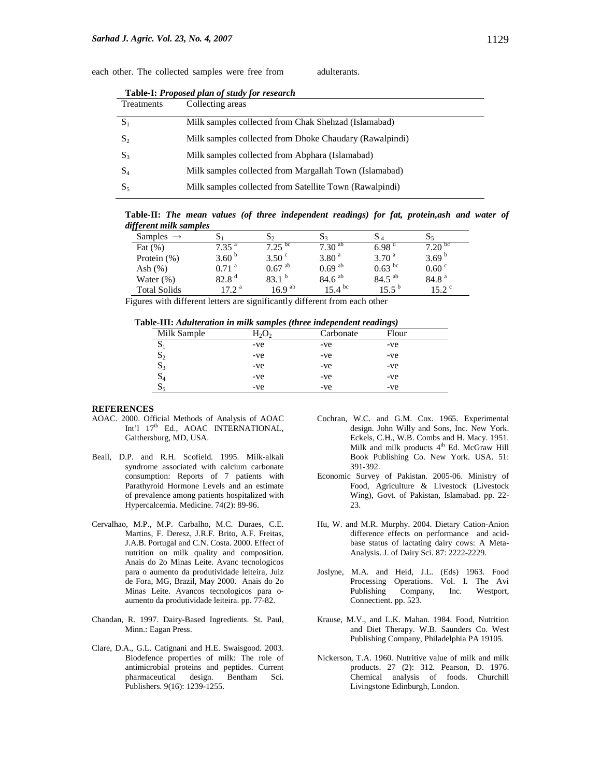| Table-I: Proposed plan of study for research |                                                         |  |  |  |
|----------------------------------------------|---------------------------------------------------------|--|--|--|
| <b>Treatments</b>                            | Collecting areas                                        |  |  |  |
| $S_1$                                        | Milk samples collected from Chak Shehzad (Islamabad)    |  |  |  |
| $S_2$                                        | Milk samples collected from Dhoke Chaudary (Rawalpindi) |  |  |  |
| $S_3$                                        | Milk samples collected from Abphara (Islamabad)         |  |  |  |
| $S_4$                                        | Milk samples collected from Margallah Town (Islamabad)  |  |  |  |
| $S_5$                                        | Milk samples collected from Satellite Town (Rawalpindi) |  |  |  |
|                                              |                                                         |  |  |  |

each other. The collected samples were free from adulterants.

**Table-II:** *The mean values (of three independent readings) for fat, protein,ash and water of different milk samples* 

| agjerena manesampaes  |                     |                      |                      |                   |                    |
|-----------------------|---------------------|----------------------|----------------------|-------------------|--------------------|
| Samples $\rightarrow$ |                     | 07                   |                      |                   |                    |
| Fat $(\% )$           | $7.35^{\text{a}}$   | $7.25^{bc}$          | $7.30^{ab}$          | 6.98              | 7.20 <sup>bc</sup> |
| Protein $(\%)$        | 3.60 $^{\rm b}$     | 3.50 <sup>c</sup>    | 3.80 <sup>a</sup>    | 3.70 <sup>a</sup> | 3.69 $^{b}$        |
| Ash $(\%)$            | $0.71$ <sup>a</sup> | $0.67$ <sup>ab</sup> | $0.69$ <sup>ab</sup> | $0.63^{bc}$       | 0.60 °             |
| Water $(\%)$          | 82.8 <sup>d</sup>   | 83.1 <sup>b</sup>    | $84.6^{ab}$          | $84.5^{ab}$       | 84.8 <sup>a</sup>  |
| <b>Total Solids</b>   | 17.2 <sup>a</sup>   | 16.9 <sup>ab</sup>   | $15.4^{bc}$          | $15.5^{\circ}$    | $15.2^{\circ}$     |

Figures with different letters are significantly different from each other

|  |  |  | Table-III: Adulteration in milk samples (three independent readings) |  |
|--|--|--|----------------------------------------------------------------------|--|
|  |  |  |                                                                      |  |

|                |          | . .       | $\sim$ $\sim$ |
|----------------|----------|-----------|---------------|
| Milk Sample    | $H_2O_2$ | Carbonate | Flour         |
| D.             | -ve      | -ve       | -ve           |
| $\mathbf{D}_2$ | -ve      | -ve       | -ve           |
| D3             | -ve      | -ve       | -ve           |
| $\mathbf{D}_4$ | -ve      | -ve       | -ve           |
| 5م             | -ve      | -ve       | -ve           |
|                |          |           |               |

## **REFERENCES**

- AOAC. 2000. Official Methods of Analysis of AOAC Int'l 17<sup>th</sup> Ed., AOAC INTERNATIONAL, Gaithersburg, MD, USA.
- Beall, D.P. and R.H. Scofield. 1995. Milk-alkali syndrome associated with calcium carbonate consumption: Reports of 7 patients with Parathyroid Hormone Levels and an estimate of prevalence among patients hospitalized with Hypercalcemia. Medicine. 74(2): 89-96.
- Cervalhao, M.P., M.P. Carbalho, M.C. Duraes, C.E. Martins, F. Deresz, J.R.F. Brito, A.F. Freitas, J.A.B. Portugal and C.N. Costa. 2000. Effect of nutrition on milk quality and composition. Anais do 2o Minas Leite. Avanc tecnologicos para o aumento da produtividade leiteira, Juiz de Fora, MG, Brazil, May 2000. Anais do 2o Minas Leite. Avancos tecnologicos para oaumento da produtividade leiteira. pp. 77-82.
- Chandan, R. 1997. Dairy-Based Ingredients. St. Paul, Minn.: Eagan Press.
- Clare, D.A., G.L. Catignani and H.E. Swaisgood. 2003. Biodefence properties of milk: The role of antimicrobial proteins and peptides. Current pharmaceutical design. Bentham Sci. Publishers. 9(16): 1239-1255.
- Cochran, W.C. and G.M. Cox. 1965. Experimental design. John Willy and Sons, Inc. New York. Eckels, C.H., W.B. Combs and H. Macy. 1951. Milk and milk products 4<sup>th</sup> Ed. McGraw Hill Book Publishing Co. New York. USA. 51: 391-392.
- Economic Survey of Pakistan. 2005-06. Ministry of Food, Agriculture & Livestock (Livestock Wing), Govt. of Pakistan, Islamabad. pp. 22- 23.
- Hu, W. and M.R. Murphy. 2004. Dietary Cation-Anion difference effects on performance and acidbase status of lactating dairy cows: A Meta-Analysis. J. of Dairy Sci. 87: 2222-2229.
- Joslyne, M.A. and Heid, J.L. (Eds) 1963. Food Processing Operations. Vol. I. The Avi<br>Publishing Company, Inc. Westport, Company, Inc. Connectient. pp. 523.
- Krause, M.V., and L.K. Mahan. 1984. Food, Nutrition and Diet Therapy. W.B. Saunders Co. West Publishing Company, Philadelphia PA 19105.
- Nickerson, T.A. 1960. Nutritive value of milk and milk products. 27 (2): 312. Pearson, D. 1976. Chemical analysis of foods. Churchill Livingstone Edinburgh, London.